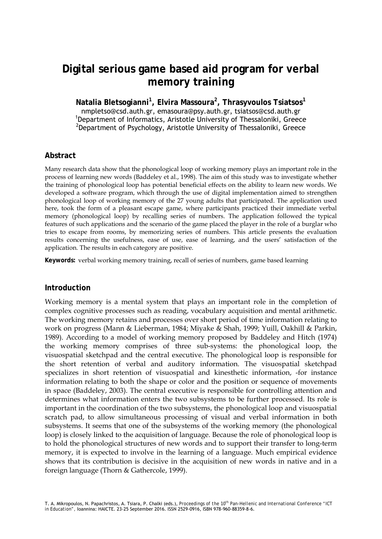# **Digital serious game based aid program for verbal memory training**

**Natalia Bletsogianni<sup>1</sup> , Elvira Massoura2 , Thrasyvoulos Tsiatsos<sup>1</sup>** nmpletso@csd.auth.gr, emasoura@psy.auth.gr, tsiatsos@csd.auth.gr <sup>1</sup> <sup>1</sup>Department of Informatics, Aristotle University of Thessaloniki, Greece  $^{2}$ Department of Psychology, Aristotle University of Thessaloniki, Greece

### **Abstract**

Many research data show that the phonological loop of working memory plays an important role in the process of learning new words (Baddeley et al., 1998). The aim of this study was to investigate whether the training of phonological loop has potential beneficial effects on the ability to learn new words. We developed a software program, which through the use of digital implementation aimed to strengthen phonological loop of working memory of the 27 young adults that participated. The application used here, took the form of a pleasant escape game, where participants practiced their immediate verbal memory (phonological loop) by recalling series of numbers. The application followed the typical features of such applications and the scenario of the game placed the player in the role of a burglar who tries to escape from rooms, by memorizing series of numbers. This article presents the evaluation results concerning the usefulness, ease of use, ease of learning, and the users' satisfaction of the application. The results in each category are positive.

**Keywords:** verbal working memory training, recall of series of numbers, game based learning

#### **Introduction**

Working memory is a mental system that plays an important role in the completion of complex cognitive processes such as reading, vocabulary acquisition and mental arithmetic. The working memory retains and processes over short period of time information relating to work on progress (Mann & Lieberman, 1984; Miyake & Shah, 1999; Yuill, Oakhill & Parkin, 1989). According to a model of working memory proposed by Baddeley and Hitch (1974) the working memory comprises of three sub-systems: the phonological loop, the visuospatial sketchpad and the central executive. The phonological loop is responsible for the short retention of verbal and auditory information. The visuospatial sketchpad specializes in short retention of visuospatial and kinesthetic information, -for instance information relating to both the shape or color and the position or sequence of movements in space (Baddeley, 2003). The central executive is responsible for controlling attention and determines what information enters the two subsystems to be further processed. Its role is important in the coordination of the two subsystems, the phonological loop and visuospatial scratch pad, to allow simultaneous processing of visual and verbal information in both subsystems. It seems that one of the subsystems of the working memory (the phonological loop) is closely linked to the acquisition of language. Because the role of phonological loop is to hold the phonological structures of new words and to support their transfer to long-term memory, it is expected to involve in the learning of a language. Much empirical evidence shows that its contribution is decisive in the acquisition of new words in native and in a foreign language (Thorn & Gathercole, 1999).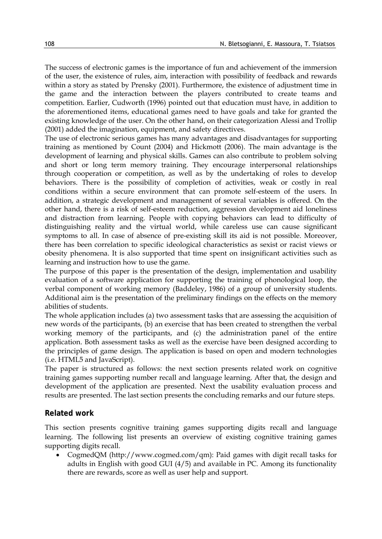The success of electronic games is the importance of fun and achievement of the immersion of the user, the existence of rules, aim, interaction with possibility of feedback and rewards within a story as stated by Prensky (2001). Furthermore, the existence of adjustment time in the game and the interaction between the players contributed to create teams and competition. Earlier, Cudworth (1996) pointed out that education must have, in addition to the aforementioned items, educational games need to have goals and take for granted the existing knowledge of the user. On the other hand, on their categorization Alessi and Trollip (2001) added the imagination, equipment, and safety directives.

The use of electronic serious games has many advantages and disadvantages for supporting training as mentioned by Count (2004) and Hickmott (2006). The main advantage is the development of learning and physical skills. Games can also contribute to problem solving and short or long term memory training. They encourage interpersonal relationships through cooperation or competition, as well as by the undertaking of roles to develop behaviors. There is the possibility of completion of activities, weak or costly in real conditions within a secure environment that can promote self-esteem of the users. In addition, a strategic development and management of several variables is offered. On the other hand, there is a risk of self-esteem reduction, aggression development aid loneliness and distraction from learning. People with copying behaviors can lead to difficulty of distinguishing reality and the virtual world, while careless use can cause significant symptoms to all. In case of absence of pre-existing skill its aid is not possible. Moreover, there has been correlation to specific ideological characteristics as sexist or racist views or obesity phenomena. It is also supported that time spent on insignificant activities such as learning and instruction how to use the game.

The purpose of this paper is the presentation of the design, implementation and usability evaluation of a software application for supporting the training of phonological loop, the verbal component of working memory (Baddeley, 1986) of a group of university students. Additional aim is the presentation of the preliminary findings on the effects on the memory abilities of students.

The whole application includes (a) two assessment tasks that are assessing the acquisition of new words of the participants, (b) an exercise that has been created to strengthen the verbal working memory of the participants, and (c) the administration panel of the entire application. Both assessment tasks as well as the exercise have been designed according to the principles of game design. The application is based on open and modern technologies (i.e. HTML5 and JavaScript).

The paper is structured as follows: the next section presents related work on cognitive training games supporting number recall and language learning. After that, the design and development of the application are presented. Next the usability evaluation process and results are presented. The last section presents the concluding remarks and our future steps.

#### **Related work**

This section presents cognitive training games supporting digits recall and language learning. The following list presents an overview of existing cognitive training games supporting digits recall.

• CogmedQM (http://www.cogmed.com/qm): Paid games with digit recall tasks for adults in English with good GUI (4/5) and available in PC. Among its functionality there are rewards, score as well as user help and support.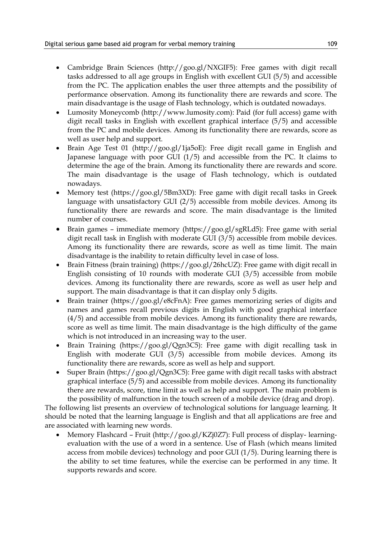- Cambridge Brain Sciences (http://goo.gl/NXGIF5): Free games with digit recall tasks addressed to all age groups in English with excellent GUI (5/5) and accessible from the PC. The application enables the user three attempts and the possibility of performance observation. Among its functionality there are rewards and score. The main disadvantage is the usage of Flash technology, which is outdated nowadays.
- Lumosity Moneycomb (http://www.lumosity.com): Paid (for full access) game with digit recall tasks in English with excellent graphical interface (5/5) and accessible from the PC and mobile devices. Among its functionality there are rewards, score as well as user help and support.
- Brain Age Test 01 (http://goo.gl/1ja5oE): Free digit recall game in English and Japanese language with poor GUI (1/5) and accessible from the PC. It claims to determine the age of the brain. Among its functionality there are rewards and score. The main disadvantage is the usage of Flash technology, which is outdated nowadays.
- Memory test (https://goo.gl/5Bm3XD): Free game with digit recall tasks in Greek language with unsatisfactory GUI (2/5) accessible from mobile devices. Among its functionality there are rewards and score. The main disadvantage is the limited number of courses.
- Brain games immediate memory (https://goo.gl/sgRLd5): Free game with serial digit recall task in English with moderate GUI (3/5) accessible from mobile devices. Among its functionality there are rewards, score as well as time limit. The main disadvantage is the inability to retain difficulty level in case of loss.
- Brain Fitness (brain training) (https://goo.gl/26hcUZ): Free game with digit recall in English consisting of 10 rounds with moderate GUI (3/5) accessible from mobile devices. Among its functionality there are rewards, score as well as user help and support. The main disadvantage is that it can display only 5 digits.
- Brain trainer (https://goo.gl/e8cFnA): Free games memorizing series of digits and names and games recall previous digits in English with good graphical interface (4/5) and accessible from mobile devices. Among its functionality there are rewards, score as well as time limit. The main disadvantage is the high difficulty of the game which is not introduced in an increasing way to the user.
- Brain Training (https://goo.gl/Qgn3C5): Free game with digit recalling task in English with moderate GUI (3/5) accessible from mobile devices. Among its functionality there are rewards, score as well as help and support.
- Super Brain (https://goo.gl/Qgn3C5): Free game with digit recall tasks with abstract graphical interface (5/5) and accessible from mobile devices. Among its functionality there are rewards, score, time limit as well as help and support. The main problem is the possibility of malfunction in the touch screen of a mobile device (drag and drop).

The following list presents an overview of technological solutions for language learning. It should be noted that the learning language is English and that all applications are free and are associated with learning new words.

• Memory Flashcard – Fruit (http://goo.gl/KZj0Z7): Full process of display- learningevaluation with the use of a word in a sentence. Use of Flash (which means limited access from mobile devices) technology and poor GUI (1/5). During learning there is the ability to set time features, while the exercise can be performed in any time. It supports rewards and score.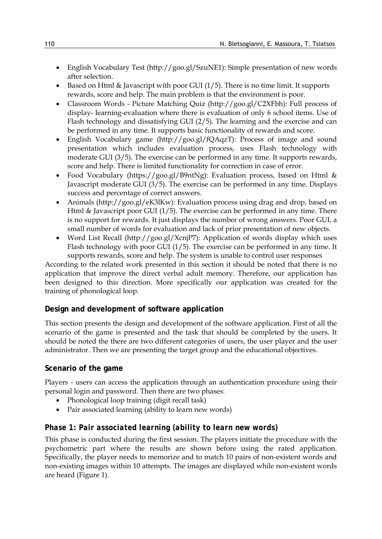- English Vocabulary Test (http://goo.gl/SzuNE1): Simple presentation of new words after selection.
- Based on Html & Javascript with poor GUI  $(1/5)$ . There is no time limit. It supports rewards, score and help. The main problem is that the environment is poor.
- Classroom Words Picture Matching Quiz (http://goo.gl/C2XFbh): Full process of display- learning-evaluation where there is evaluation of only 6 school items. Use of Flash technology and dissatisfying GUI (2/5). The learning and the exercise and can be performed in any time. It supports basic functionality of rewards and score.
- English Vocabulary game (http://goo.gl/fQAqzT): Process of image and sound presentation which includes evaluation process, uses Flash technology with moderate GUI (3/5). The exercise can be performed in any time. It supports rewards, score and help. There is limited functionality for correction in case of error.
- Food Vocabulary (https://goo.gl/B9ntNg): Evaluation process, based on Html & Javascript moderate GUI (3/5). The exercise can be performed in any time. Displays success and percentage of correct answers.
- Animals (http://goo.gl/eK3lKw): Evaluation process using drag and drop, based on Html & Javascript poor GUI (1/5). The exercise can be performed in any time. There is no support for rewards. It just displays the number of wrong answers. Poor GUI, a small number of words for evaluation and lack of prior presentation of new objects.
- Word List Recall (http://goo.gl/ΧcnjP7): Application of words display which uses Flash technology with poor GUI (1/5). The exercise can be performed in any time. It supports rewards, score and help. The system is unable to control user responses

According to the related work presented in this section it should be noted that there is no application that improve the direct verbal adult memory. Therefore, our application has been designed to this direction. More specifically our application was created for the training of phonological loop.

## **Design and development of software application**

This section presents the design and development of the software application. First of all the scenario of the game is presented and the task that should be completed by the users. It should be noted the there are two different categories of users, the user player and the user administrator. Then we are presenting the target group and the educational objectives.

### **Scenario of the game**

Players - users can access the application through an authentication procedure using their personal login and password. Then there are two phases:

- Phonological loop training (digit recall task)
- Pair associated learning (ability to learn new words)

## *Phase 1: Pair associated learning (ability to learn new words)*

This phase is conducted during the first session. The players initiate the procedure with the psychometric part where the results are shown before using the rated application. Specifically, the player needs to memorize and to match 10 pairs of non-existent words and non-existing images within 10 attempts. The images are displayed while non-existent words are heard (Figure 1).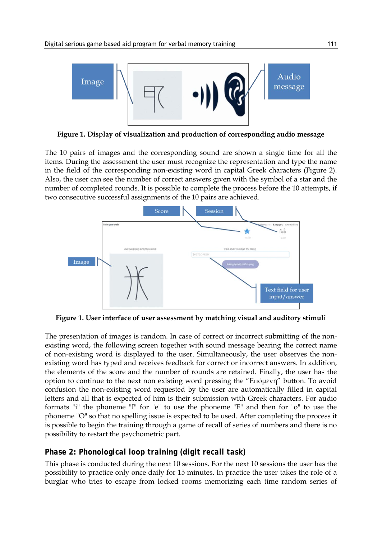

**Figure 1. Display of visualization and production of corresponding audio message**

The 10 pairs of images and the corresponding sound are shown a single time for all the items. During the assessment the user must recognize the representation and type the name in the field of the corresponding non-existing word in capital Greek characters (Figure 2). Also, the user can see the number of correct answers given with the symbol of a star and the number of completed rounds. It is possible to complete the process before the 10 attempts, if two consecutive successful assignments of the 10 pairs are achieved.



**Figure 1. User interface of user assessment by matching visual and auditory stimuli**

The presentation of images is random. In case of correct or incorrect submitting of the nonexisting word, the following screen together with sound message bearing the correct name of non-existing word is displayed to the user. Simultaneously, the user observes the nonexisting word has typed and receives feedback for correct or incorrect answers. In addition, the elements of the score and the number of rounds are retained. Finally, the user has the option to continue to the next non existing word pressing the "Επόμενη" button. To avoid confusion the non-existing word requested by the user are automatically filled in capital letters and all that is expected of him is their submission with Greek characters. For audio formats "i" the phoneme "I" for "e" to use the phoneme "E" and then for "o" to use the phoneme "O" so that no spelling issue is expected to be used. After completing the process it is possible to begin the training through a game of recall of series of numbers and there is no possibility to restart the psychometric part.

## *Phase 2: Phonological loop training (digit recall task)*

This phase is conducted during the next 10 sessions. For the next 10 sessions the user has the possibility to practice only once daily for 15 minutes. In practice the user takes the role of a burglar who tries to escape from locked rooms memorizing each time random series of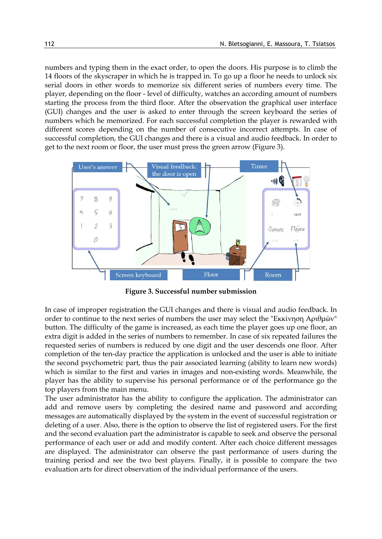numbers and typing them in the exact order, to open the doors. His purpose is to climb the 14 floors of the skyscraper in which he is trapped in. To go up a floor he needs to unlock six serial doors in other words to memorize six different series of numbers every time. The player, depending on the floor - level of difficulty, watches an according amount of numbers starting the process from the third floor. After the observation the graphical user interface (GUI) changes and the user is asked to enter through the screen keyboard the series of numbers which he memorized. For each successful completion the player is rewarded with different scores depending on the number of consecutive incorrect attempts. In case of successful completion, the GUI changes and there is a visual and audio feedback. In order to get to the next room or floor, the user must press the green arrow (Figure 3).



**Figure 3. Successful number submission**

In case of improper registration the GUI changes and there is visual and audio feedback. In order to continue to the next series of numbers the user may select the "Εκκίνηση Αριθμών" button. The difficulty of the game is increased, as each time the player goes up one floor, an extra digit is added in the series of numbers to remember. In case of six repeated failures the requested series of numbers is reduced by one digit and the user descends one floor. After completion of the ten-day practice the application is unlocked and the user is able to initiate the second psychometric part, thus the pair associated learning (ability to learn new words) which is similar to the first and varies in images and non-existing words. Meanwhile, the player has the ability to supervise his personal performance or of the performance go the top players from the main menu.

The user administrator has the ability to configure the application. The administrator can add and remove users by completing the desired name and password and according messages are automatically displayed by the system in the event of successful registration or deleting of a user. Also, there is the option to observe the list of registered users. For the first and the second evaluation part the administrator is capable to seek and observe the personal performance of each user or add and modify content. After each choice different messages are displayed. The administrator can observe the past performance of users during the training period and see the two best players. Finally, it is possible to compare the two evaluation arts for direct observation of the individual performance of the users.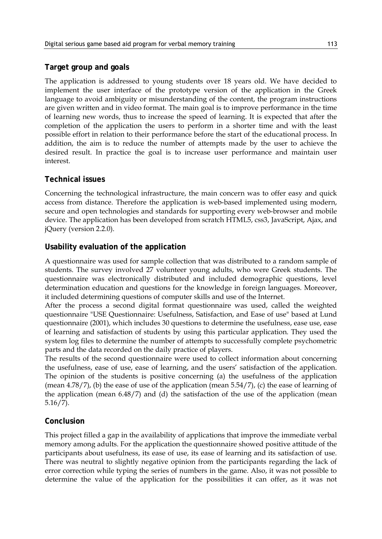### **Target group and goals**

The application is addressed to young students over 18 years old. We have decided to implement the user interface of the prototype version of the application in the Greek language to avoid ambiguity or misunderstanding of the content, the program instructions are given written and in video format. The main goal is to improve performance in the time of learning new words, thus to increase the speed of learning. It is expected that after the completion of the application the users to perform in a shorter time and with the least possible effort in relation to their performance before the start of the educational process. In addition, the aim is to reduce the number of attempts made by the user to achieve the desired result. In practice the goal is to increase user performance and maintain user interest.

### **Technical issues**

Concerning the technological infrastructure, the main concern was to offer easy and quick access from distance. Therefore the application is web-based implemented using modern, secure and open technologies and standards for supporting every web-browser and mobile device. The application has been developed from scratch HTML5, css3, JavaScript, Ajax, and jQuery (version 2.2.0).

### **Usability evaluation of the application**

A questionnaire was used for sample collection that was distributed to a random sample of students. The survey involved 27 volunteer young adults, who were Greek students. The questionnaire was electronically distributed and included demographic questions, level determination education and questions for the knowledge in foreign languages. Moreover, it included determining questions of computer skills and use of the Internet.

After the process a second digital format questionnaire was used, called the weighted questionnaire "USE Questionnaire: Usefulness, Satisfaction, and Ease of use" based at Lund questionnaire (2001), which includes 30 questions to determine the usefulness, ease use, ease of learning and satisfaction of students by using this particular application. They used the system log files to determine the number of attempts to successfully complete psychometric parts and the data recorded on the daily practice of players.

The results of the second questionnaire were used to collect information about concerning the usefulness, ease of use, ease of learning, and the users' satisfaction of the application. The opinion of the students is positive concerning (a) the usefulness of the application (mean 4.78/7), (b) the ease of use of the application (mean 5.54/7), (c) the ease of learning of the application (mean 6.48/7) and (d) the satisfaction of the use of the application (mean 5.16/7).

### **Conclusion**

This project filled a gap in the availability of applications that improve the immediate verbal memory among adults. For the application the questionnaire showed positive attitude of the participants about usefulness, its ease of use, its ease of learning and its satisfaction of use. There was neutral to slightly negative opinion from the participants regarding the lack of error correction while typing the series of numbers in the game. Also, it was not possible to determine the value of the application for the possibilities it can offer, as it was not